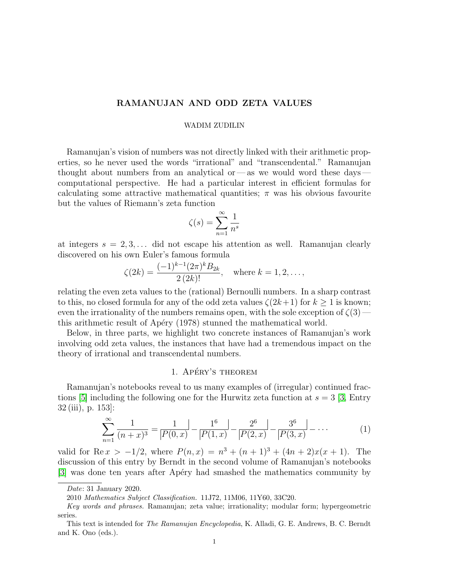# RAMANUJAN AND ODD ZETA VALUES

#### WADIM ZUDILIN

Ramanujan's vision of numbers was not directly linked with their arithmetic properties, so he never used the words "irrational" and "transcendental." Ramanujan thought about numbers from an analytical or— as we would word these days computational perspective. He had a particular interest in efficient formulas for calculating some attractive mathematical quantities;  $\pi$  was his obvious favourite but the values of Riemann's zeta function

$$
\zeta(s) = \sum_{n=1}^{\infty} \frac{1}{n^s}
$$

at integers  $s = 2, 3, \ldots$  did not escape his attention as well. Ramanujan clearly discovered on his own Euler's famous formula

$$
\zeta(2k) = \frac{(-1)^{k-1}(2\pi)^k B_{2k}}{2(2k)!}, \quad \text{where } k = 1, 2, \dots,
$$

relating the even zeta values to the (rational) Bernoulli numbers. In a sharp contrast to this, no closed formula for any of the odd zeta values  $\zeta(2k+1)$  for  $k \geq 1$  is known; even the irrationality of the numbers remains open, with the sole exception of  $\zeta(3)$  this arithmetic result of Apéry (1978) stunned the mathematical world.

Below, in three parts, we highlight two concrete instances of Ramanujan's work involving odd zeta values, the instances that have had a tremendous impact on the theory of irrational and transcendental numbers.

# 1. APERY'S THEOREM

Ramanujan's notebooks reveal to us many examples of (irregular) continued frac-tions [\[5\]](#page-3-0) including the following one for the Hurwitz zeta function at  $s = 3$  [\[3,](#page-3-1) Entry 32 (iii), p. 153]:

<span id="page-0-0"></span>
$$
\sum_{n=1}^{\infty} \frac{1}{(n+x)^3} = \frac{1}{|P(0,x)|} - \frac{1^6}{|P(1,x)|} - \frac{2^6}{|P(2,x)|} - \frac{3^6}{|P(3,x)|} - \dots \tag{1}
$$

valid for Re  $x > -1/2$ , where  $P(n, x) = n^3 + (n + 1)^3 + (4n + 2)x(x + 1)$ . The discussion of this entry by Berndt in the second volume of Ramanujan's notebooks [\[3\]](#page-3-1) was done ten years after Ap´ery had smashed the mathematics community by

Date: 31 January 2020.

<sup>2010</sup> Mathematics Subject Classification. 11J72, 11M06, 11Y60, 33C20.

Key words and phrases. Ramanujan; zeta value; irrationality; modular form; hypergeometric series.

This text is intended for The Ramanujan Encyclopedia, K. Alladi, G. E. Andrews, B. C. Berndt and K. Ono (eds.).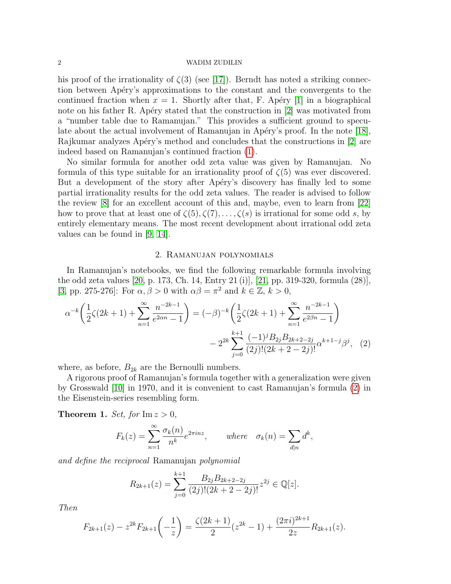#### 2 WADIM ZUDILIN

his proof of the irrationality of  $\zeta(3)$  (see [\[17\]](#page-4-0)). Berndt has noted a striking connection between Apéry's approximations to the constant and the convergents to the continued fraction when  $x = 1$ . Shortly after that, F. Apéry [\[1\]](#page-3-2) in a biographical note on his father R. Apéry stated that the construction in  $[2]$  was motivated from a "number table due to Ramanujan." This provides a sufficient ground to specu-late about the actual involvement of Ramanujan in Apéry's proof. In the note [\[18\]](#page-4-1), Rajkumar analyzes Apéry's method and concludes that the constructions in [\[2\]](#page-3-3) are indeed based on Ramanujan's continued fraction [\(1\)](#page-0-0).

No similar formula for another odd zeta value was given by Ramanujan. No formula of this type suitable for an irrationality proof of  $\zeta(5)$  was ever discovered. But a development of the story after Apéry's discovery has finally led to some partial irrationality results for the odd zeta values. The reader is advised to follow the review [\[8\]](#page-3-4) for an excellent account of this and, maybe, even to learn from [\[22\]](#page-4-2) how to prove that at least one of  $\zeta(5), \zeta(7), \ldots, \zeta(s)$  is irrational for some odd s, by entirely elementary means. The most recent development about irrational odd zeta values can be found in [\[9,](#page-3-5) [14\]](#page-4-3).

#### <span id="page-1-0"></span>2. Ramanujan polynomials

In Ramanujan's notebooks, we find the following remarkable formula involving the odd zeta values [\[20,](#page-4-4) p. 173, Ch. 14, Entry 21 (i)], [\[21,](#page-4-5) pp. 319-320, formula (28)], [\[3,](#page-3-1) pp. 275-276]: For  $\alpha, \beta > 0$  with  $\alpha\beta = \pi^2$  and  $k \in \mathbb{Z}, k > 0$ ,

$$
\alpha^{-k} \left( \frac{1}{2} \zeta(2k+1) + \sum_{n=1}^{\infty} \frac{n^{-2k-1}}{e^{2\alpha n} - 1} \right) = (-\beta)^{-k} \left( \frac{1}{2} \zeta(2k+1) + \sum_{n=1}^{\infty} \frac{n^{-2k-1}}{e^{2\beta n} - 1} \right)
$$

$$
- 2^{2k} \sum_{j=0}^{k+1} \frac{(-1)^j B_{2j} B_{2k+2-2j}}{(2j)!(2k+2-2j)!} \alpha^{k+1-j} \beta^j, \quad (2)
$$

where, as before,  $B_{2k}$  are the Bernoulli numbers.

A rigorous proof of Ramanujan's formula together with a generalization were given by Grosswald [\[10\]](#page-3-6) in 1970, and it is convenient to cast Ramanujan's formula [\(2\)](#page-1-0) in the Eisenstein-series resembling form.

**Theorem 1.** Set, for  $\text{Im } z > 0$ ,

$$
F_k(z) = \sum_{n=1}^{\infty} \frac{\sigma_k(n)}{n^k} e^{2\pi i n z}, \qquad \text{where} \quad \sigma_k(n) = \sum_{d|n} d^k,
$$

and define the reciprocal Ramanujan polynomial

$$
R_{2k+1}(z) = \sum_{j=0}^{k+1} \frac{B_{2j} B_{2k+2-2j}}{(2j)!(2k+2-2j)!} z^{2j} \in \mathbb{Q}[z].
$$

Then

$$
F_{2k+1}(z) - z^{2k} F_{2k+1}\left(-\frac{1}{z}\right) = \frac{\zeta(2k+1)}{2}(z^{2k} - 1) + \frac{(2\pi i)^{2k+1}}{2z} R_{2k+1}(z).
$$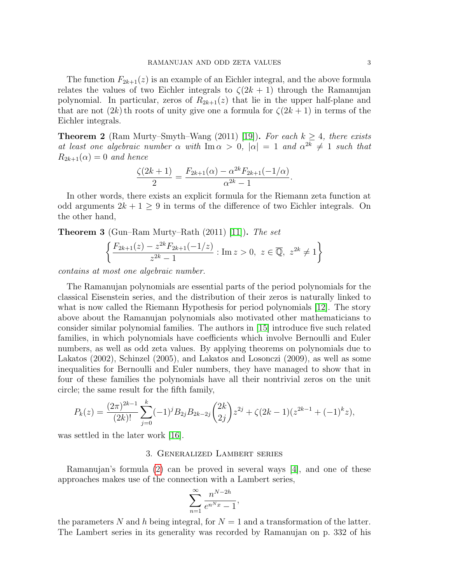The function  $F_{2k+1}(z)$  is an example of an Eichler integral, and the above formula relates the values of two Eichler integrals to  $\zeta(2k+1)$  through the Ramanujan polynomial. In particular, zeros of  $R_{2k+1}(z)$  that lie in the upper half-plane and that are not  $(2k)$  th roots of unity give one a formula for  $\zeta(2k+1)$  in terms of the Eichler integrals.

**Theorem 2** (Ram Murty–Smyth–Wang (2011) [\[19\]](#page-4-6)). For each  $k \geq 4$ , there exists at least one algebraic number  $\alpha$  with  $\text{Im}\,\alpha > 0$ ,  $|\alpha| = 1$  and  $\alpha^{2k} \neq 1$  such that  $R_{2k+1}(\alpha) = 0$  and hence

$$
\frac{\zeta(2k+1)}{2} = \frac{F_{2k+1}(\alpha) - \alpha^{2k} F_{2k+1}(-1/\alpha)}{\alpha^{2k} - 1}.
$$

In other words, there exists an explicit formula for the Riemann zeta function at odd arguments  $2k + 1 \geq 9$  in terms of the difference of two Eichler integrals. On the other hand,

**Theorem 3** (Gun–Ram Murty–Rath  $(2011)$  [\[11\]](#page-4-7)). The set

$$
\left\{\frac{F_{2k+1}(z) - z^{2k} F_{2k+1}(-1/z)}{z^{2k} - 1} : \text{Im } z > 0, \ z \in \overline{\mathbb{Q}}, \ z^{2k} \neq 1\right\}
$$

contains at most one algebraic number.

The Ramanujan polynomials are essential parts of the period polynomials for the classical Eisenstein series, and the distribution of their zeros is naturally linked to what is now called the Riemann Hypothesis for period polynomials [\[12\]](#page-4-8). The story above about the Ramanujan polynomials also motivated other mathematicians to consider similar polynomial families. The authors in [\[15\]](#page-4-9) introduce five such related families, in which polynomials have coefficients which involve Bernoulli and Euler numbers, as well as odd zeta values. By applying theorems on polynomials due to Lakatos (2002), Schinzel (2005), and Lakatos and Losonczi (2009), as well as some inequalities for Bernoulli and Euler numbers, they have managed to show that in four of these families the polynomials have all their nontrivial zeros on the unit circle; the same result for the fifth family,

$$
P_k(z) = \frac{(2\pi)^{2k-1}}{(2k)!} \sum_{j=0}^k (-1)^j B_{2j} B_{2k-2j} {2k \choose 2j} z^{2j} + \zeta (2k-1) (z^{2k-1} + (-1)^k z),
$$

was settled in the later work [\[16\]](#page-4-10).

# 3. Generalized Lambert series

Ramanujan's formula [\(2\)](#page-1-0) can be proved in several ways [\[4\]](#page-3-7), and one of these approaches makes use of the connection with a Lambert series,

$$
\sum_{n=1}^{\infty} \frac{n^{N-2h}}{e^{n^N x} - 1},
$$

the parameters N and h being integral, for  $N = 1$  and a transformation of the latter. The Lambert series in its generality was recorded by Ramanujan on p. 332 of his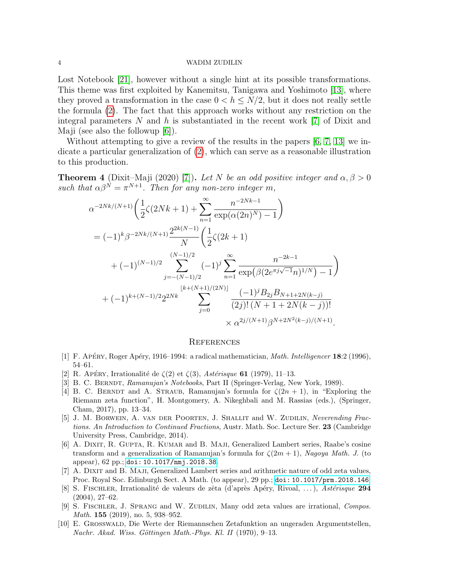#### 4 WADIM ZUDILIN

Lost Notebook [\[21\]](#page-4-5), however without a single hint at its possible transformations. This theme was first exploited by Kanemitsu, Tanigawa and Yoshimoto [\[13\]](#page-4-11), where they proved a transformation in the case  $0 < h \le N/2$ , but it does not really settle the formula [\(2\)](#page-1-0). The fact that this approach works without any restriction on the integral parameters  $N$  and  $h$  is substantiated in the recent work  $[7]$  of Dixit and Maji (see also the followup [\[6\]](#page-3-9)).

Without attempting to give a review of the results in the papers  $[6, 7, 13]$  $[6, 7, 13]$  $[6, 7, 13]$  we indicate a particular generalization of [\(2\)](#page-1-0), which can serve as a reasonable illustration to this production.

**Theorem 4** (Dixit–Maji (2020) [\[7\]](#page-3-8)). Let N be an odd positive integer and  $\alpha, \beta > 0$ such that  $\alpha \beta^N = \pi^{N+1}$ . Then for any non-zero integer m,

$$
\alpha^{-2Nk/(N+1)} \left( \frac{1}{2} \zeta(2Nk+1) + \sum_{n=1}^{\infty} \frac{n^{-2Nk-1}}{\exp(\alpha(2n)^N) - 1} \right)
$$
  
=  $(-1)^k \beta^{-2Nk/(N+1)} \frac{2^{2k(N-1)}}{N} \left( \frac{1}{2} \zeta(2k+1) + (-1)^{(N-1)/2} \sum_{j=-(N-1)/2}^{(N-1)/2} (-1)^j \sum_{n=1}^{\infty} \frac{n^{-2k-1}}{\exp(\beta(2e^{\pi j \sqrt{-1}} n)^{1/N}) - 1} \right)$   
+  $(-1)^{k+(N-1)/2} 2^{2Nk} \sum_{j=0}^{\lfloor k+(N+1)/(2N) \rfloor} \frac{(-1)^j B_{2j} B_{N+1+2N(k-j)}}{(2j)!(N+1+2N(k-j))!} \times \alpha^{2j/(N+1)} \beta^{N+2N^2(k-j)/(N+1)}.$ 

#### **REFERENCES**

- <span id="page-3-2"></span>[1] F. Apéry, Roger Apéry, 1916–1994: a radical mathematician, *Math. Intelligencer* 18:2 (1996), 54–61.
- <span id="page-3-3"></span>[2] R. APÉRY, Irrationalité de  $\zeta(2)$  et  $\zeta(3)$ , Astérisque 61 (1979), 11–13.
- <span id="page-3-1"></span>[3] B. C. BERNDT, Ramanujan's Notebooks, Part II (Springer-Verlag, New York, 1989).
- <span id="page-3-7"></span>[4] B. C. BERNDT and A. STRAUB, Ramanujan's formula for  $\zeta(2n+1)$ , in "Exploring the Riemann zeta function", H. Montgomery, A. Nikeghbali and M. Rassias (eds.), (Springer, Cham, 2017), pp. 13–34.
- <span id="page-3-0"></span>[5] J. M. Borwein, A. van der Poorten, J. Shallit and W. Zudilin, Neverending Fractions. An Introduction to Continued Fractions, Austr. Math. Soc. Lecture Ser. 23 (Cambridge University Press, Cambridge, 2014).
- <span id="page-3-9"></span>[6] A. DIXIT, R. GUPTA, R. KUMAR and B. MAJI, Generalized Lambert series, Raabe's cosine transform and a generalization of Ramanujan's formula for  $\zeta(2m+1)$ , Nagoya Math. J. (to appear), 62 pp.; [doi: 10.1017/nmj.2018.38](https://doi.org/10.1017/nmj.2018.38).
- <span id="page-3-8"></span>[7] A. DIXIT and B. MAJI, Generalized Lambert series and arithmetic nature of odd zeta values, Proc. Royal Soc. Edinburgh Sect. A Math. (to appear), 29 pp.; [doi: 10.1017/prm.2018.146](https://doi.org/10.1017/prm.2018.146).
- <span id="page-3-4"></span>[8] S. FISCHLER, Irrationalité de valeurs de zêta (d'après Apéry, Rivoal, ...), Astérisque 294 (2004), 27–62.
- <span id="page-3-5"></span>[9] S. FISCHLER, J. SPRANG and W. ZUDILIN, Many odd zeta values are irrational, Compos. Math. 155 (2019), no. 5, 938–952.
- <span id="page-3-6"></span>[10] E. Grosswald, Die Werte der Riemannschen Zetafunktion an ungeraden Argumentstellen, Nachr. Akad. Wiss. Göttingen Math.-Phys. Kl. II (1970), 9-13.